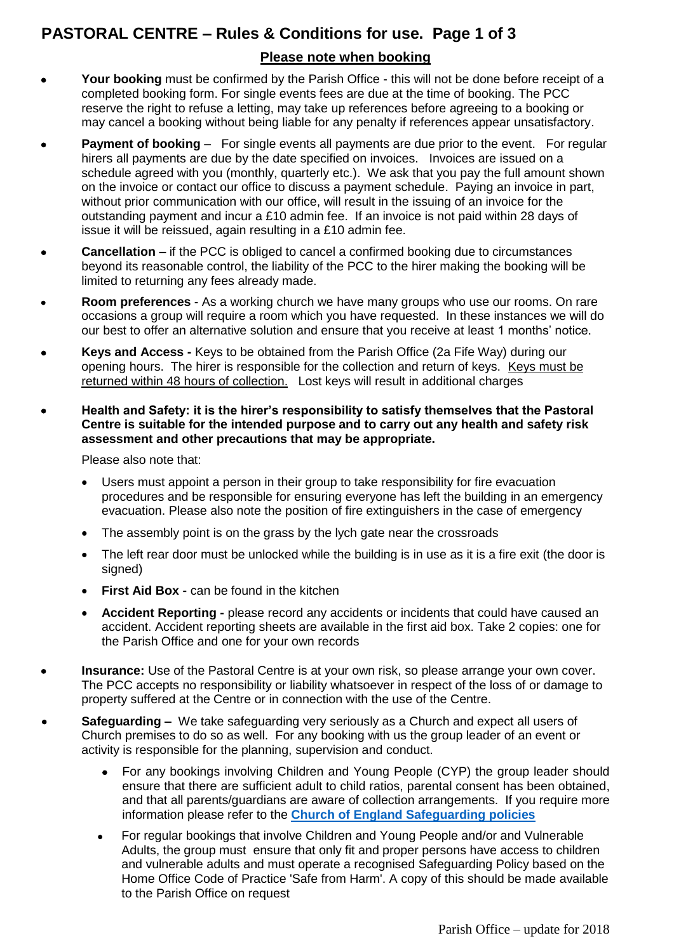# **PASTORAL CENTRE – Rules & Conditions for use. Page 1 of 3**

#### **Please note when booking**

- **Your booking** must be confirmed by the Parish Office this will not be done before receipt of a completed booking form. For single events fees are due at the time of booking. The PCC reserve the right to refuse a letting, may take up references before agreeing to a booking or may cancel a booking without being liable for any penalty if references appear unsatisfactory.
- **Payment of booking** For single events all payments are due prior to the event. For regular hirers all payments are due by the date specified on invoices. Invoices are issued on a schedule agreed with you (monthly, quarterly etc.). We ask that you pay the full amount shown on the invoice or contact our office to discuss a payment schedule. Paying an invoice in part, without prior communication with our office, will result in the issuing of an invoice for the outstanding payment and incur a £10 admin fee. If an invoice is not paid within 28 days of issue it will be reissued, again resulting in a £10 admin fee.
- **Cancellation –** if the PCC is obliged to cancel a confirmed booking due to circumstances beyond its reasonable control, the liability of the PCC to the hirer making the booking will be limited to returning any fees already made.
- **Room preferences** As a working church we have many groups who use our rooms. On rare occasions a group will require a room which you have requested. In these instances we will do our best to offer an alternative solution and ensure that you receive at least 1 months' notice.
- **Keys and Access -** Keys to be obtained from the Parish Office (2a Fife Way) during our opening hours. The hirer is responsible for the collection and return of keys. Keys must be returned within 48 hours of collection. Lost keys will result in additional charges
- **Health and Safety: it is the hirer's responsibility to satisfy themselves that the Pastoral Centre is suitable for the intended purpose and to carry out any health and safety risk assessment and other precautions that may be appropriate.**

Please also note that:

- Users must appoint a person in their group to take responsibility for fire evacuation procedures and be responsible for ensuring everyone has left the building in an emergency evacuation. Please also note the position of fire extinguishers in the case of emergency
- The assembly point is on the grass by the lych gate near the crossroads
- The left rear door must be unlocked while the building is in use as it is a fire exit (the door is signed)
- **First Aid Box -** can be found in the kitchen
- **Accident Reporting -** please record any accidents or incidents that could have caused an accident. Accident reporting sheets are available in the first aid box. Take 2 copies: one for the Parish Office and one for your own records
- **Insurance:** Use of the Pastoral Centre is at your own risk, so please arrange your own cover. The PCC accepts no responsibility or liability whatsoever in respect of the loss of or damage to property suffered at the Centre or in connection with the use of the Centre.
- **Safeguarding** We take safeguarding very seriously as a Church and expect all users of Church premises to do so as well. For any booking with us the group leader of an event or activity is responsible for the planning, supervision and conduct.
	- For any bookings involving Children and Young People (CYP) the group leader should ensure that there are sufficient adult to child ratios, parental consent has been obtained, and that all parents/guardians are aware of collection arrangements. If you require more information please refer to the **Church of England [Safeguarding policies](http://www.cofeguildford.org.uk/about/safeguarding-inclusion/safeguarding-policy-and-implementation)**
	- For regular bookings that involve Children and Young People and/or and Vulnerable Adults, the group must ensure that only fit and proper persons have access to children and vulnerable adults and must operate a recognised Safeguarding Policy based on the Home Office Code of Practice 'Safe from Harm'. A copy of this should be made available to the Parish Office on request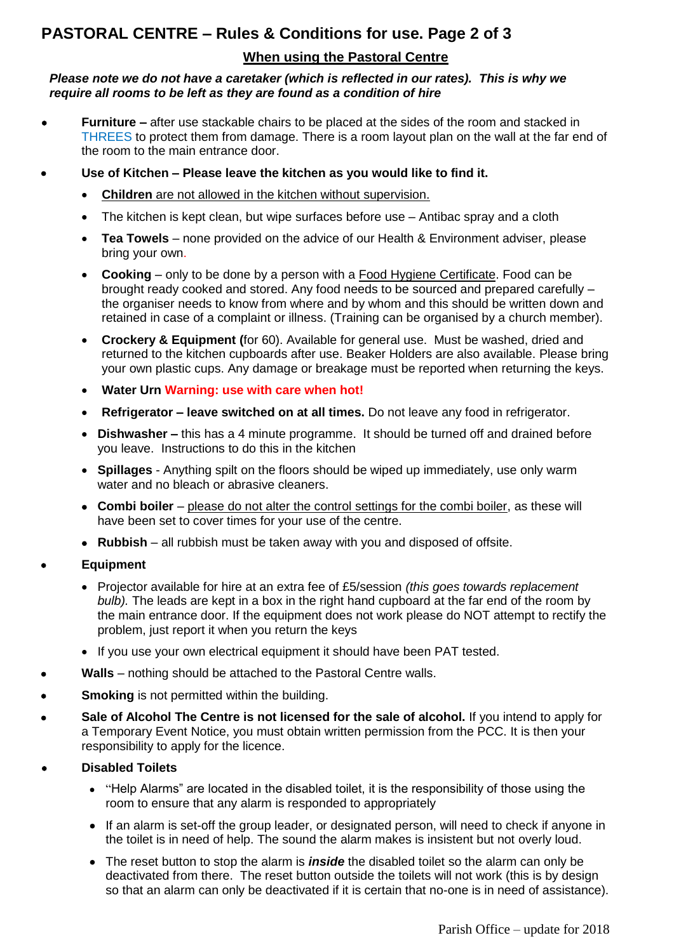# **PASTORAL CENTRE – Rules & Conditions for use. Page 2 of 3**

#### **When using the Pastoral Centre**

#### *Please note we do not have a caretaker (which is reflected in our rates). This is why we require all rooms to be left as they are found as a condition of hire*

- **Furniture –** after use stackable chairs to be placed at the sides of the room and stacked in THREES to protect them from damage. There is a room layout plan on the wall at the far end of the room to the main entrance door.
- **Use of Kitchen – Please leave the kitchen as you would like to find it.** 
	- **Children** are not allowed in the kitchen without supervision.
	- The kitchen is kept clean, but wipe surfaces before use Antibac spray and a cloth
	- **Tea Towels** none provided on the advice of our Health & Environment adviser, please bring your own.
	- **Cooking**  only to be done by a person with a Food Hygiene Certificate. Food can be brought ready cooked and stored. Any food needs to be sourced and prepared carefully – the organiser needs to know from where and by whom and this should be written down and retained in case of a complaint or illness. (Training can be organised by a church member).
	- **Crockery & Equipment (**for 60). Available for general use. Must be washed, dried and returned to the kitchen cupboards after use. Beaker Holders are also available. Please bring your own plastic cups. Any damage or breakage must be reported when returning the keys.
	- **Water Urn Warning: use with care when hot!**
	- **Refrigerator – leave switched on at all times.** Do not leave any food in refrigerator.
	- **Dishwasher –** this has a 4 minute programme. It should be turned off and drained before you leave. Instructions to do this in the kitchen
	- **Spillages** Anything spilt on the floors should be wiped up immediately, use only warm water and no bleach or abrasive cleaners.
	- **Combi boiler** please do not alter the control settings for the combi boiler, as these will have been set to cover times for your use of the centre.
	- **Rubbish**  all rubbish must be taken away with you and disposed of offsite.
- **Equipment**
	- Projector available for hire at an extra fee of £5/session *(this goes towards replacement bulb).* The leads are kept in a box in the right hand cupboard at the far end of the room by the main entrance door. If the equipment does not work please do NOT attempt to rectify the problem, just report it when you return the keys
	- If you use your own electrical equipment it should have been PAT tested.
- **Walls** nothing should be attached to the Pastoral Centre walls.
- **Smoking** is not permitted within the building.
- **Sale of Alcohol The Centre is not licensed for the sale of alcohol.** If you intend to apply for a Temporary Event Notice, you must obtain written permission from the PCC. It is then your responsibility to apply for the licence.
- **Disabled Toilets**
	- "Help Alarms" are located in the disabled toilet, it is the responsibility of those using the room to ensure that any alarm is responded to appropriately
	- If an alarm is set-off the group leader, or designated person, will need to check if anyone in the toilet is in need of help. The sound the alarm makes is insistent but not overly loud.
	- The reset button to stop the alarm is *inside* the disabled toilet so the alarm can only be deactivated from there. The reset button outside the toilets will not work (this is by design so that an alarm can only be deactivated if it is certain that no-one is in need of assistance).